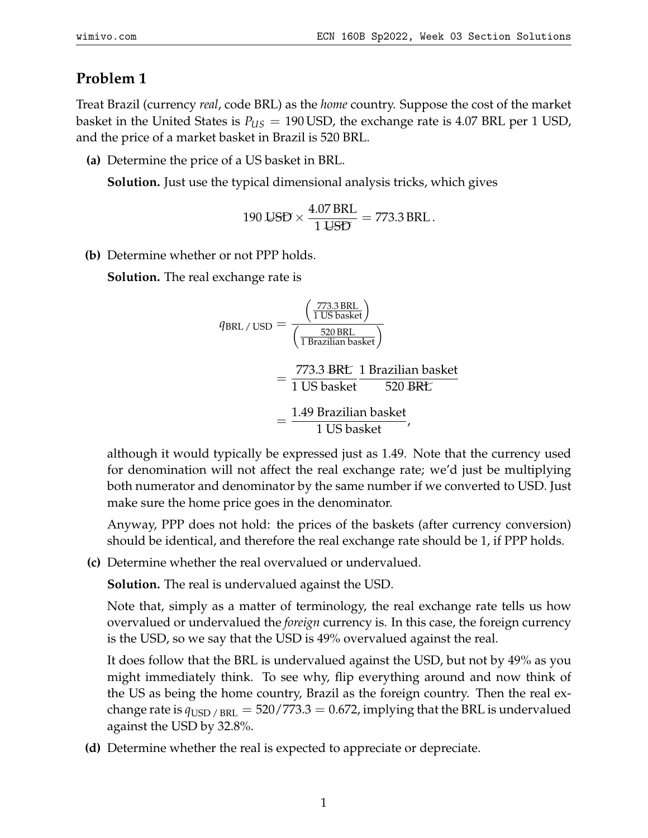## **Problem 1**

Treat Brazil (currency *real*, code BRL) as the *home* country. Suppose the cost of the market basket in the United States is  $P_{US} = 190 \text{ USD}$ , the exchange rate is 4.07 BRL per 1 USD, and the price of a market basket in Brazil is 520 BRL.

**(a)** Determine the price of a US basket in BRL.

**Solution.** Just use the typical dimensional analysis tricks, which gives

$$
190 \text{ J5D} \times \frac{4.07 \text{ BRL}}{1 \text{ J5D}} = 773.3 \text{ BRL}.
$$

**(b)** Determine whether or not PPP holds.

**Solution.** The real exchange rate is

$$
q_{BRL}/\text{USD} = \frac{\left(\frac{773.3 \text{ BRL}}{1 \text{ US basket}}\right)}{\left(\frac{520 \text{ BRL}}{1 \text{ Brazilian basket}}\right)}
$$

$$
= \frac{773.3 \text{ BRL}}{1 \text{ US basket}} \frac{1 \text{ Brazilian basket}}{520 \text{ BRL}}
$$

$$
= \frac{1.49 \text{ Brazilian basket}}{1 \text{ US basket}},
$$

although it would typically be expressed just as 1.49. Note that the currency used for denomination will not affect the real exchange rate; we'd just be multiplying both numerator and denominator by the same number if we converted to USD. Just make sure the home price goes in the denominator.

Anyway, PPP does not hold: the prices of the baskets (after currency conversion) should be identical, and therefore the real exchange rate should be 1, if PPP holds.

**(c)** Determine whether the real overvalued or undervalued.

**Solution.** The real is undervalued against the USD.

Note that, simply as a matter of terminology, the real exchange rate tells us how overvalued or undervalued the *foreign* currency is. In this case, the foreign currency is the USD, so we say that the USD is 49% overvalued against the real.

It does follow that the BRL is undervalued against the USD, but not by 49% as you might immediately think. To see why, flip everything around and now think of the US as being the home country, Brazil as the foreign country. Then the real exchange rate is  $q_{\text{USD}}$  /  $_{\text{BRL}}$  = 520/773.3 = 0.672, implying that the BRL is undervalued against the USD by 32.8%.

**(d)** Determine whether the real is expected to appreciate or depreciate.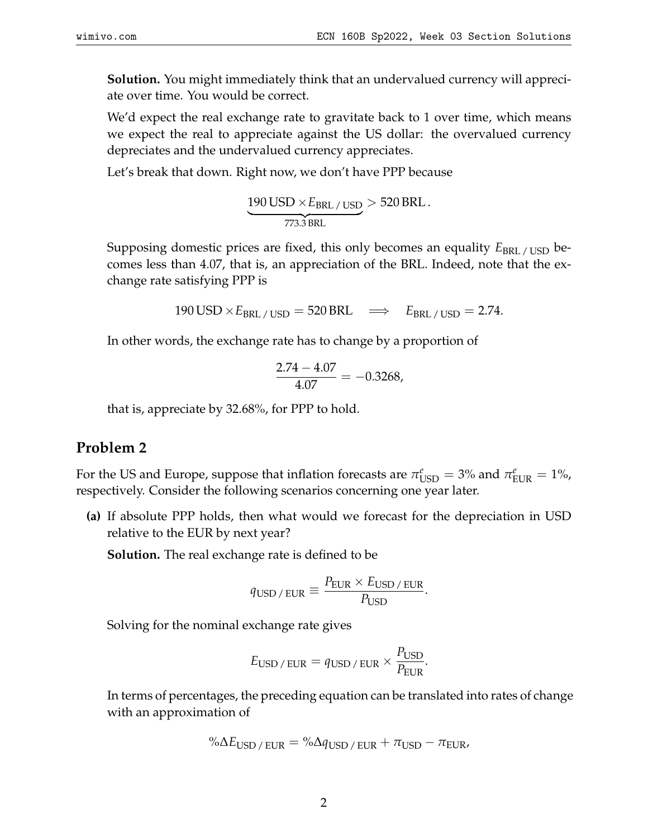**Solution.** You might immediately think that an undervalued currency will appreciate over time. You would be correct.

We'd expect the real exchange rate to gravitate back to 1 over time, which means we expect the real to appreciate against the US dollar: the overvalued currency depreciates and the undervalued currency appreciates.

Let's break that down. Right now, we don't have PPP because

$$
\underbrace{190 \text{ USD} \times E_{BRL} / \text{USD}}_{773.3 \text{ BRL}} > 520 \text{ BRL}.
$$

Supposing domestic prices are fixed, this only becomes an equality  $E_{BRL / USD}$  becomes less than 4.07, that is, an appreciation of the BRL. Indeed, note that the exchange rate satisfying PPP is

$$
190 \text{ USD} \times E_{\text{BRL}/\text{USD}} = 520 \text{BRL} \quad \Longrightarrow \quad E_{\text{BRL}/\text{USD}} = 2.74.
$$

In other words, the exchange rate has to change by a proportion of

$$
\frac{2.74 - 4.07}{4.07} = -0.3268,
$$

that is, appreciate by 32.68%, for PPP to hold.

### **Problem 2**

For the US and Europe, suppose that inflation forecasts are  $\pi^e_{\text{USD}} = 3\%$  and  $\pi^e_{\text{EUR}} = 1\%$ , respectively. Consider the following scenarios concerning one year later.

**(a)** If absolute PPP holds, then what would we forecast for the depreciation in USD relative to the EUR by next year?

**Solution.** The real exchange rate is defined to be

$$
q_{\text{USD}/\text{EUR}} \equiv \frac{P_{\text{EUR}} \times E_{\text{USD}/\text{EUR}}}{P_{\text{USD}}}.
$$

Solving for the nominal exchange rate gives

$$
E_{\text{USD}/\text{EUR}} = q_{\text{USD}/\text{EUR}} \times \frac{P_{\text{USD}}}{P_{\text{EUR}}}.
$$

In terms of percentages, the preceding equation can be translated into rates of change with an approximation of

$$
\% \Delta E_{\text{USD}/\text{EUR}} = \% \Delta q_{\text{USD}/\text{EUR}} + \pi_{\text{USD}} - \pi_{\text{EUR}}.
$$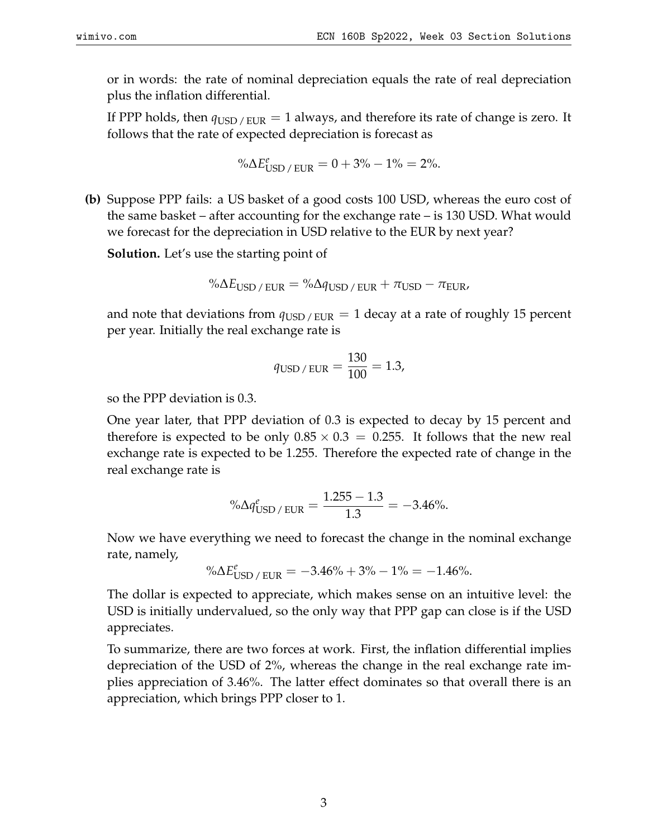or in words: the rate of nominal depreciation equals the rate of real depreciation plus the inflation differential.

If PPP holds, then  $q_{\text{USD}}/_{\text{EUR}} = 1$  always, and therefore its rate of change is zero. It follows that the rate of expected depreciation is forecast as

$$
\% \Delta E_{\rm USD\,/\,EUR}^e = 0 + 3\% - 1\% = 2\%.
$$

**(b)** Suppose PPP fails: a US basket of a good costs 100 USD, whereas the euro cost of the same basket – after accounting for the exchange rate – is 130 USD. What would we forecast for the depreciation in USD relative to the EUR by next year?

**Solution.** Let's use the starting point of

$$
\% \Delta E_{\text{USD}/\text{EUR}} = \% \Delta q_{\text{USD}/\text{EUR}} + \pi_{\text{USD}} - \pi_{\text{EUR}}.
$$

and note that deviations from  $q_{\text{USD}}/_{\text{EUR}} = 1$  decay at a rate of roughly 15 percent per year. Initially the real exchange rate is

$$
q_{\text{USD/EUR}} = \frac{130}{100} = 1.3,
$$

so the PPP deviation is 0.3.

One year later, that PPP deviation of 0.3 is expected to decay by 15 percent and therefore is expected to be only  $0.85 \times 0.3 = 0.255$ . It follows that the new real exchange rate is expected to be 1.255. Therefore the expected rate of change in the real exchange rate is

$$
\% \Delta q_{\text{USD}/\text{ EUR}}^e = \frac{1.255 - 1.3}{1.3} = -3.46\%.
$$

Now we have everything we need to forecast the change in the nominal exchange rate, namely,

$$
\% \Delta E_{\rm USD\,/\,EUR}^e = -3.46\% + 3\% - 1\% = -1.46\%.
$$

The dollar is expected to appreciate, which makes sense on an intuitive level: the USD is initially undervalued, so the only way that PPP gap can close is if the USD appreciates.

To summarize, there are two forces at work. First, the inflation differential implies depreciation of the USD of 2%, whereas the change in the real exchange rate implies appreciation of 3.46%. The latter effect dominates so that overall there is an appreciation, which brings PPP closer to 1.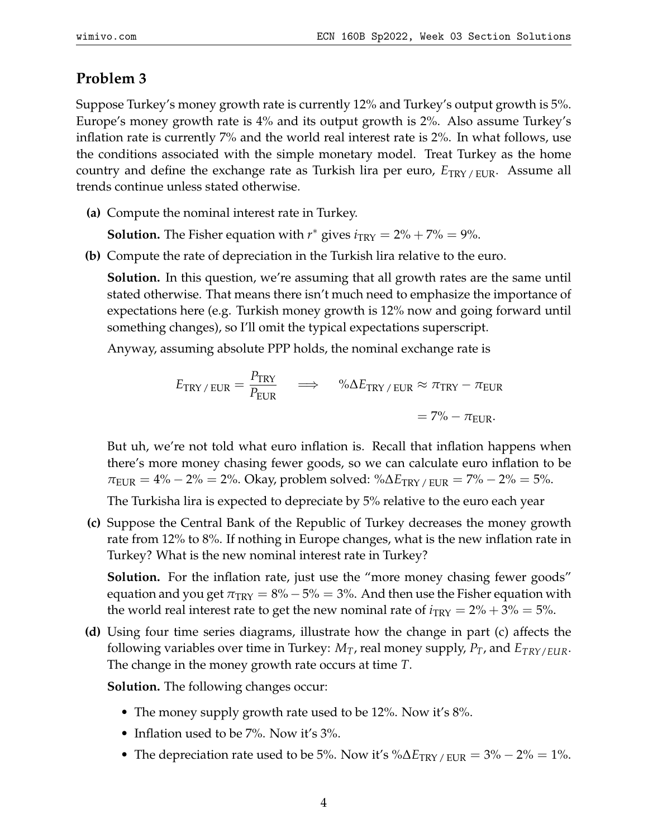# **Problem 3**

Suppose Turkey's money growth rate is currently 12% and Turkey's output growth is 5%. Europe's money growth rate is 4% and its output growth is 2%. Also assume Turkey's inflation rate is currently 7% and the world real interest rate is 2%. In what follows, use the conditions associated with the simple monetary model. Treat Turkey as the home country and define the exchange rate as Turkish lira per euro, *E*TRY / EUR. Assume all trends continue unless stated otherwise.

**(a)** Compute the nominal interest rate in Turkey.

**Solution.** The Fisher equation with  $r^*$  gives  $i_{TRY} = 2\% + 7\% = 9\%$ .

**(b)** Compute the rate of depreciation in the Turkish lira relative to the euro.

**Solution.** In this question, we're assuming that all growth rates are the same until stated otherwise. That means there isn't much need to emphasize the importance of expectations here (e.g. Turkish money growth is 12% now and going forward until something changes), so I'll omit the typical expectations superscript.

Anyway, assuming absolute PPP holds, the nominal exchange rate is

$$
E_{\text{TRY}/\text{EUR}} = \frac{P_{\text{TRY}}}{P_{\text{EUR}}} \quad \implies \quad \% \Delta E_{\text{TRY}/\text{EUR}} \approx \pi_{\text{TRY}} - \pi_{\text{EUR}} \\
= 7\% - \pi_{\text{EUR}}.
$$

But uh, we're not told what euro inflation is. Recall that inflation happens when there's more money chasing fewer goods, so we can calculate euro inflation to be  $\pi_{\text{EUR}} = 4\% - 2\% = 2\%$ . Okay, problem solved: % $\Delta E_{\text{TRY}}/_{\text{EUR}} = 7\% - 2\% = 5\%.$ 

The Turkisha lira is expected to depreciate by 5% relative to the euro each year

**(c)** Suppose the Central Bank of the Republic of Turkey decreases the money growth rate from 12% to 8%. If nothing in Europe changes, what is the new inflation rate in Turkey? What is the new nominal interest rate in Turkey?

**Solution.** For the inflation rate, just use the "more money chasing fewer goods" equation and you get  $\pi_{TRY} = 8\% - 5\% = 3\%$ . And then use the Fisher equation with the world real interest rate to get the new nominal rate of  $i_{TRY} = 2\% + 3\% = 5\%$ .

**(d)** Using four time series diagrams, illustrate how the change in part (c) affects the following variables over time in Turkey: *MT*, real money supply, *PT*, and *ETRY*/*EUR*. The change in the money growth rate occurs at time *T*.

**Solution.** The following changes occur:

- The money supply growth rate used to be 12%. Now it's 8%.
- Inflation used to be 7%. Now it's 3%.
- The depreciation rate used to be 5%. Now it's % $\Delta E_{TRY/EUR} = 3\% 2\% = 1\%$ .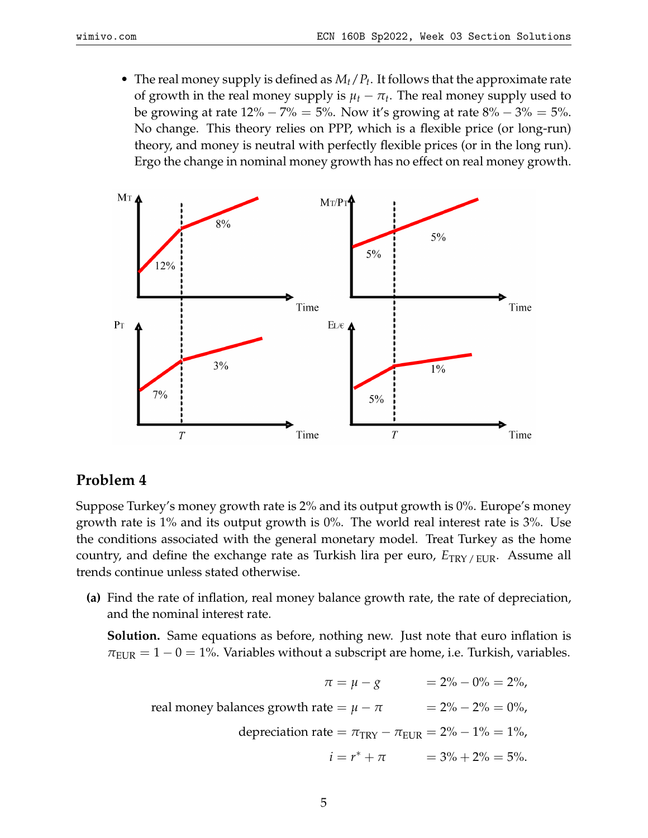• The real money supply is defined as *Mt*/*P<sup>t</sup>* . It follows that the approximate rate of growth in the real money supply is  $\mu_t - \pi_t$ . The real money supply used to be growing at rate  $12\% - 7\% = 5\%$ . Now it's growing at rate  $8\% - 3\% = 5\%$ . No change. This theory relies on PPP, which is a flexible price (or long-run) theory, and money is neutral with perfectly flexible prices (or in the long run). Ergo the change in nominal money growth has no effect on real money growth.



### **Problem 4**

Suppose Turkey's money growth rate is 2% and its output growth is 0%. Europe's money growth rate is 1% and its output growth is 0%. The world real interest rate is 3%. Use the conditions associated with the general monetary model. Treat Turkey as the home country, and define the exchange rate as Turkish lira per euro,  $E_{TRY/FLIR}$ . Assume all trends continue unless stated otherwise.

**(a)** Find the rate of inflation, real money balance growth rate, the rate of depreciation, and the nominal interest rate.

**Solution.** Same equations as before, nothing new. Just note that euro inflation is  $\pi_{\text{EUR}} = 1 - 0 = 1\%$ . Variables without a subscript are home, i.e. Turkish, variables.

$$
π = μ - g
$$
 = 2% - 0% = 2%,  
real money balances growth rate = μ - π = 2% - 2% = 0%,  
deprecation rate = π<sub>TRY</sub> - π<sub>EUR</sub> = 2% - 1% = 1%,  
 $i = r^* + π$  = 3% + 2% = 5%.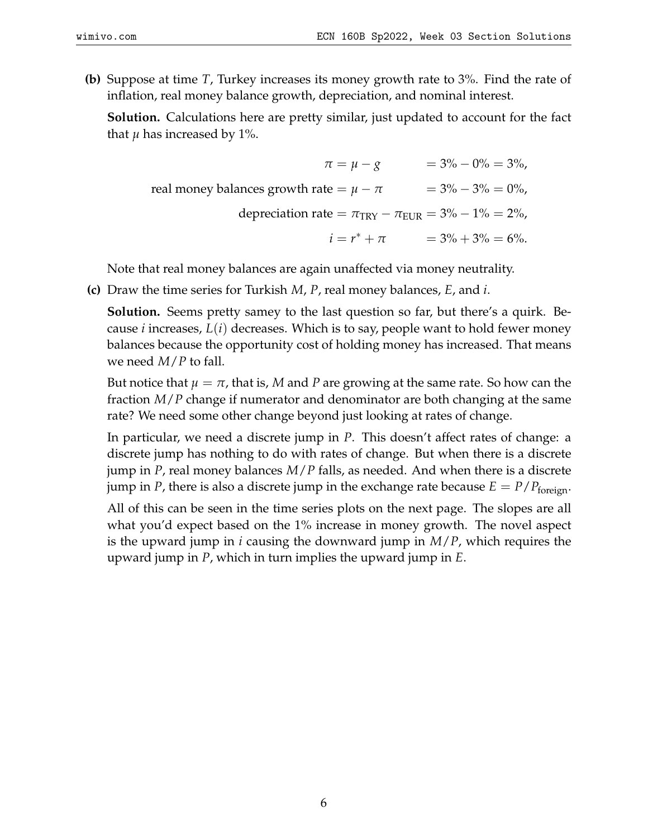**(b)** Suppose at time *T*, Turkey increases its money growth rate to 3%. Find the rate of inflation, real money balance growth, depreciation, and nominal interest.

**Solution.** Calculations here are pretty similar, just updated to account for the fact that  $\mu$  has increased by 1%.

$$
\pi = \mu - g = 3\% - 0\% = 3\%,
$$
  
real money balances growth rate =  $\mu - \pi$  = 3% - 3% = 0%,  
deprecation rate =  $\pi_{TRY} - \pi_{EUR} = 3\% - 1\% = 2\%,$   
 $i = r^* + \pi$  = 3% + 3% = 6%.

Note that real money balances are again unaffected via money neutrality.

**(c)** Draw the time series for Turkish *M*, *P*, real money balances, *E*, and *i*.

**Solution.** Seems pretty samey to the last question so far, but there's a quirk. Because *i* increases, *L*(*i*) decreases. Which is to say, people want to hold fewer money balances because the opportunity cost of holding money has increased. That means we need *M*/*P* to fall.

But notice that  $\mu = \pi$ , that is, M and P are growing at the same rate. So how can the fraction *M*/*P* change if numerator and denominator are both changing at the same rate? We need some other change beyond just looking at rates of change.

In particular, we need a discrete jump in *P*. This doesn't affect rates of change: a discrete jump has nothing to do with rates of change. But when there is a discrete jump in *P*, real money balances *M*/*P* falls, as needed. And when there is a discrete jump in *P*, there is also a discrete jump in the exchange rate because  $E = P/P_{\text{foreign}}$ .

All of this can be seen in the time series plots on the next page. The slopes are all what you'd expect based on the 1% increase in money growth. The novel aspect is the upward jump in *i* causing the downward jump in *M*/*P*, which requires the upward jump in *P*, which in turn implies the upward jump in *E*.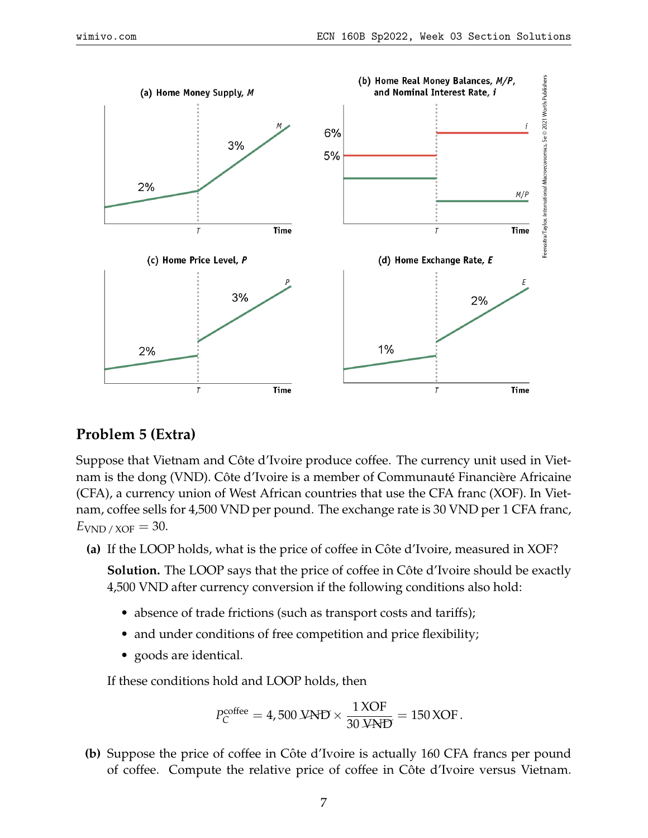

### **Problem 5 (Extra)**

Suppose that Vietnam and Côte d'Ivoire produce coffee. The currency unit used in Vietnam is the dong (VND). Côte d'Ivoire is a member of Communauté Financière Africaine (CFA), a currency union of West African countries that use the CFA franc (XOF). In Vietnam, coffee sells for 4,500 VND per pound. The exchange rate is 30 VND per 1 CFA franc,  $E_{\text{VND}}$  /  $\chi$  OF  $=$  30.

**(a)** If the LOOP holds, what is the price of coffee in Côte d'Ivoire, measured in XOF?

**Solution.** The LOOP says that the price of coffee in Côte d'Ivoire should be exactly 4,500 VND after currency conversion if the following conditions also hold:

- absence of trade frictions (such as transport costs and tariffs);
- and under conditions of free competition and price flexibility;
- goods are identical.

If these conditions hold and LOOP holds, then

$$
P_C^{\text{cofree}} = 4,500 \text{ JAP} \times \frac{1 \text{ XOR}}{30 \text{ JAP}} = 150 \text{ XOR}.
$$

**(b)** Suppose the price of coffee in Côte d'Ivoire is actually 160 CFA francs per pound of coffee. Compute the relative price of coffee in Cote d'Ivoire versus Vietnam. ˆ